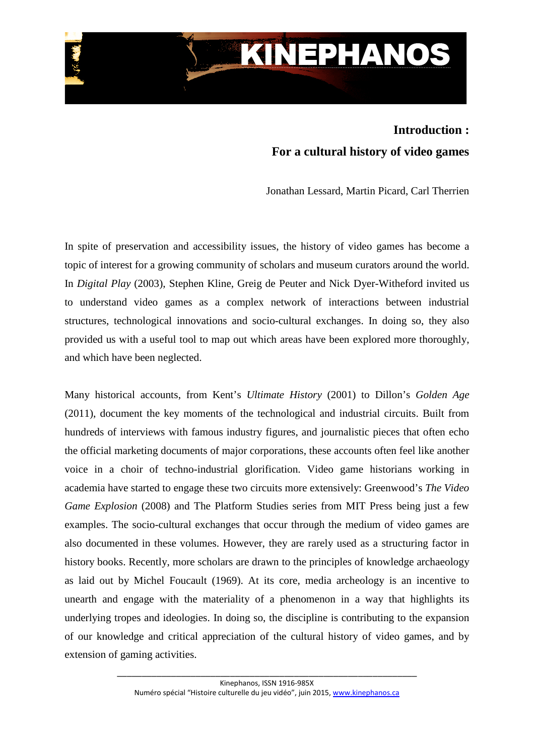

## **Introduction : For a cultural history of video games**

Jonathan Lessard, Martin Picard, Carl Therrien

In spite of preservation and accessibility issues, the history of video games has become a topic of interest for a growing community of scholars and museum curators around the world. In *Digital Play* (2003), Stephen Kline, Greig de Peuter and Nick Dyer-Witheford invited us to understand video games as a complex network of interactions between industrial structures, technological innovations and socio-cultural exchanges. In doing so, they also provided us with a useful tool to map out which areas have been explored more thoroughly, and which have been neglected.

Many historical accounts, from Kent's *Ultimate History* (2001) to Dillon's *Golden Age* (2011), document the key moments of the technological and industrial circuits. Built from hundreds of interviews with famous industry figures, and journalistic pieces that often echo the official marketing documents of major corporations, these accounts often feel like another voice in a choir of techno-industrial glorification. Video game historians working in academia have started to engage these two circuits more extensively: Greenwood's *The Video Game Explosion* (2008) and The Platform Studies series from MIT Press being just a few examples. The socio-cultural exchanges that occur through the medium of video games are also documented in these volumes. However, they are rarely used as a structuring factor in history books. Recently, more scholars are drawn to the principles of knowledge archaeology as laid out by Michel Foucault (1969). At its core, media archeology is an incentive to unearth and engage with the materiality of a phenomenon in a way that highlights its underlying tropes and ideologies. In doing so, the discipline is contributing to the expansion of our knowledge and critical appreciation of the cultural history of video games, and by extension of gaming activities.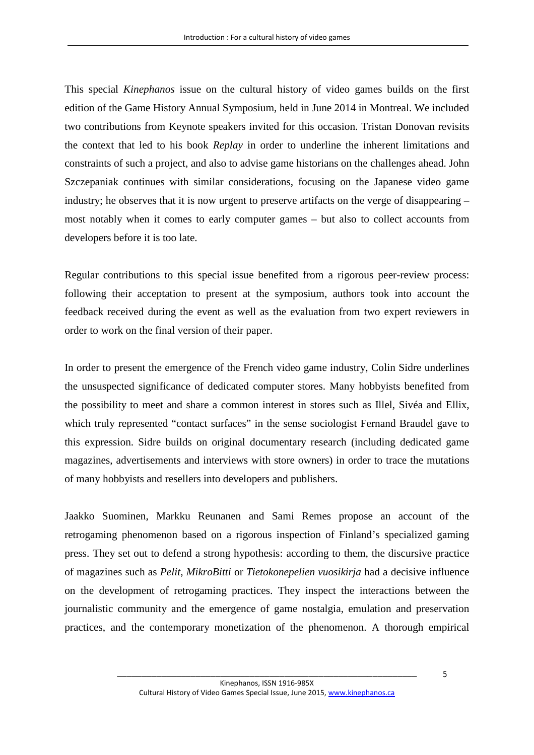This special *Kinephanos* issue on the cultural history of video games builds on the first edition of the Game History Annual Symposium, held in June 2014 in Montreal. We included two contributions from Keynote speakers invited for this occasion. Tristan Donovan revisits the context that led to his book *Replay* in order to underline the inherent limitations and constraints of such a project, and also to advise game historians on the challenges ahead. John Szczepaniak continues with similar considerations, focusing on the Japanese video game industry; he observes that it is now urgent to preserve artifacts on the verge of disappearing – most notably when it comes to early computer games – but also to collect accounts from developers before it is too late.

Regular contributions to this special issue benefited from a rigorous peer-review process: following their acceptation to present at the symposium, authors took into account the feedback received during the event as well as the evaluation from two expert reviewers in order to work on the final version of their paper.

In order to present the emergence of the French video game industry, Colin Sidre underlines the unsuspected significance of dedicated computer stores. Many hobbyists benefited from the possibility to meet and share a common interest in stores such as Illel, Sivéa and Ellix, which truly represented "contact surfaces" in the sense sociologist Fernand Braudel gave to this expression. Sidre builds on original documentary research (including dedicated game magazines, advertisements and interviews with store owners) in order to trace the mutations of many hobbyists and resellers into developers and publishers.

Jaakko Suominen, Markku Reunanen and Sami Remes propose an account of the retrogaming phenomenon based on a rigorous inspection of Finland's specialized gaming press. They set out to defend a strong hypothesis: according to them, the discursive practice of magazines such as *Pelit*, *MikroBitti* or *Tietokonepelien vuosikirja* had a decisive influence on the development of retrogaming practices. They inspect the interactions between the journalistic community and the emergence of game nostalgia, emulation and preservation practices, and the contemporary monetization of the phenomenon. A thorough empirical